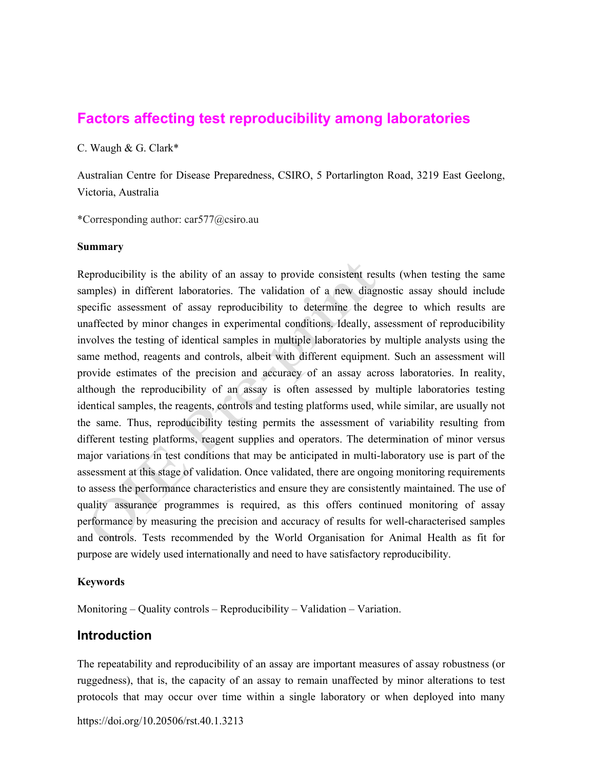# **Factors affecting test reproducibility among laboratories**

C. Waugh & G. Clark\*

Australian Centre for Disease Preparedness, CSIRO, 5 Portarlington Road, 3219 East Geelong, Victoria, Australia

\*Corresponding author: car577@csiro.au

### **Summary**

Reproducibility is the ability of an assay to provide consistent results (when testing the same samples) in different laboratories. The validation of a new diagnostic assay should include specific assessment of assay reproducibility to determine the degree to which results are unaffected by minor changes in experimental conditions. Ideally, assessment of reproducibility involves the testing of identical samples in multiple laboratories by multiple analysts using the same method, reagents and controls, albeit with different equipment. Such an assessment will provide estimates of the precision and accuracy of an assay across laboratories. In reality, although the reproducibility of an assay is often assessed by multiple laboratories testing identical samples, the reagents, controls and testing platforms used, while similar, are usually not the same. Thus, reproducibility testing permits the assessment of variability resulting from different testing platforms, reagent supplies and operators. The determination of minor versus major variations in test conditions that may be anticipated in multi-laboratory use is part of the assessment at this stage of validation. Once validated, there are ongoing monitoring requirements to assess the performance characteristics and ensure they are consistently maintained. The use of quality assurance programmes is required, as this offers continued monitoring of assay performance by measuring the precision and accuracy of results for well-characterised samples and controls. Tests recommended by the World Organisation for Animal Health as fit for purpose are widely used internationally and need to have satisfactory reproducibility.

### **Keywords**

Monitoring – Quality controls – Reproducibility – Validation – Variation.

## **Introduction**

The repeatability and reproducibility of an assay are important measures of assay robustness (or ruggedness), that is, the capacity of an assay to remain unaffected by minor alterations to test protocols that may occur over time within a single laboratory or when deployed into many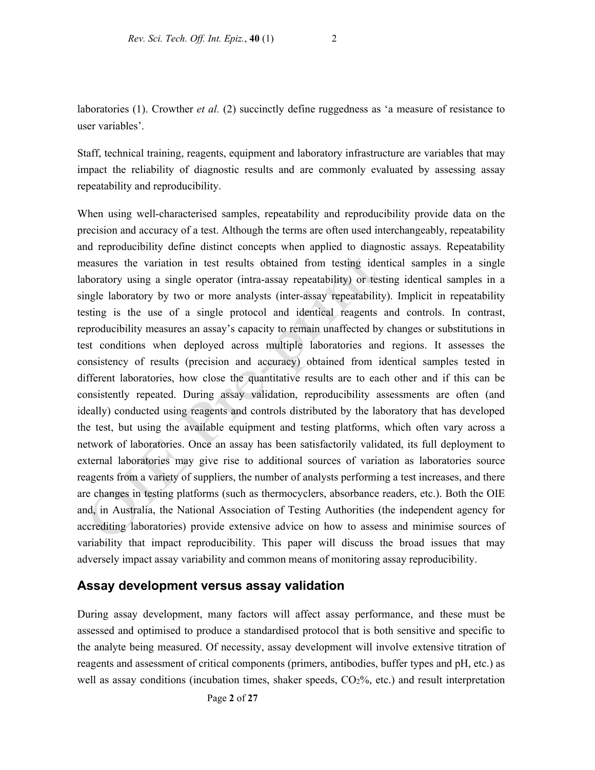laboratories (1). Crowther *et al.* (2) succinctly define ruggedness as 'a measure of resistance to user variables'.

Staff, technical training, reagents, equipment and laboratory infrastructure are variables that may impact the reliability of diagnostic results and are commonly evaluated by assessing assay repeatability and reproducibility.

When using well-characterised samples, repeatability and reproducibility provide data on the precision and accuracy of a test. Although the terms are often used interchangeably, repeatability and reproducibility define distinct concepts when applied to diagnostic assays. Repeatability measures the variation in test results obtained from testing identical samples in a single laboratory using a single operator (intra-assay repeatability) or testing identical samples in a single laboratory by two or more analysts (inter-assay repeatability). Implicit in repeatability testing is the use of a single protocol and identical reagents and controls. In contrast, reproducibility measures an assay's capacity to remain unaffected by changes or substitutions in test conditions when deployed across multiple laboratories and regions. It assesses the consistency of results (precision and accuracy) obtained from identical samples tested in different laboratories, how close the quantitative results are to each other and if this can be consistently repeated. During assay validation, reproducibility assessments are often (and ideally) conducted using reagents and controls distributed by the laboratory that has developed the test, but using the available equipment and testing platforms, which often vary across a network of laboratories. Once an assay has been satisfactorily validated, its full deployment to external laboratories may give rise to additional sources of variation as laboratories source reagents from a variety of suppliers, the number of analysts performing a test increases, and there are changes in testing platforms (such as thermocyclers, absorbance readers, etc.). Both the OIE and, in Australia, the National Association of Testing Authorities (the independent agency for accrediting laboratories) provide extensive advice on how to assess and minimise sources of variability that impact reproducibility. This paper will discuss the broad issues that may adversely impact assay variability and common means of monitoring assay reproducibility.

## **Assay development versus assay validation**

During assay development, many factors will affect assay performance, and these must be assessed and optimised to produce a standardised protocol that is both sensitive and specific to the analyte being measured. Of necessity, assay development will involve extensive titration of reagents and assessment of critical components (primers, antibodies, buffer types and pH, etc.) as well as assay conditions (incubation times, shaker speeds,  $CO<sub>2</sub>$ %, etc.) and result interpretation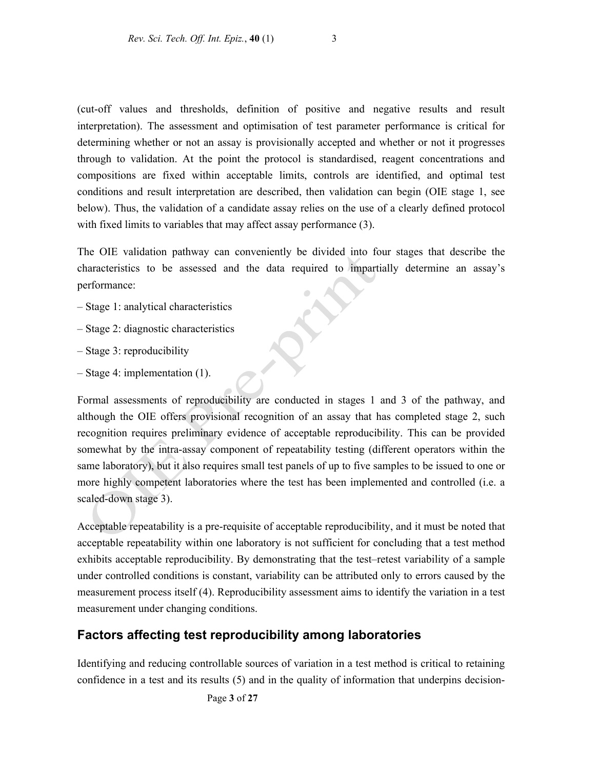(cut-off values and thresholds, definition of positive and negative results and result interpretation). The assessment and optimisation of test parameter performance is critical for determining whether or not an assay is provisionally accepted and whether or not it progresses through to validation. At the point the protocol is standardised, reagent concentrations and compositions are fixed within acceptable limits, controls are identified, and optimal test conditions and result interpretation are described, then validation can begin (OIE stage 1, see below). Thus, the validation of a candidate assay relies on the use of a clearly defined protocol with fixed limits to variables that may affect assay performance (3).

The OIE validation pathway can conveniently be divided into four stages that describe the characteristics to be assessed and the data required to impartially determine an assay's performance:

- Stage 1: analytical characteristics
- Stage 2: diagnostic characteristics
- Stage 3: reproducibility
- Stage 4: implementation (1).

Formal assessments of reproducibility are conducted in stages 1 and 3 of the pathway, and although the OIE offers provisional recognition of an assay that has completed stage 2, such recognition requires preliminary evidence of acceptable reproducibility. This can be provided somewhat by the intra-assay component of repeatability testing (different operators within the same laboratory), but it also requires small test panels of up to five samples to be issued to one or more highly competent laboratories where the test has been implemented and controlled (i.e. a scaled-down stage 3).

Acceptable repeatability is a pre-requisite of acceptable reproducibility, and it must be noted that acceptable repeatability within one laboratory is not sufficient for concluding that a test method exhibits acceptable reproducibility. By demonstrating that the test–retest variability of a sample under controlled conditions is constant, variability can be attributed only to errors caused by the measurement process itself (4). Reproducibility assessment aims to identify the variation in a test measurement under changing conditions.

## **Factors affecting test reproducibility among laboratories**

Identifying and reducing controllable sources of variation in a test method is critical to retaining confidence in a test and its results (5) and in the quality of information that underpins decision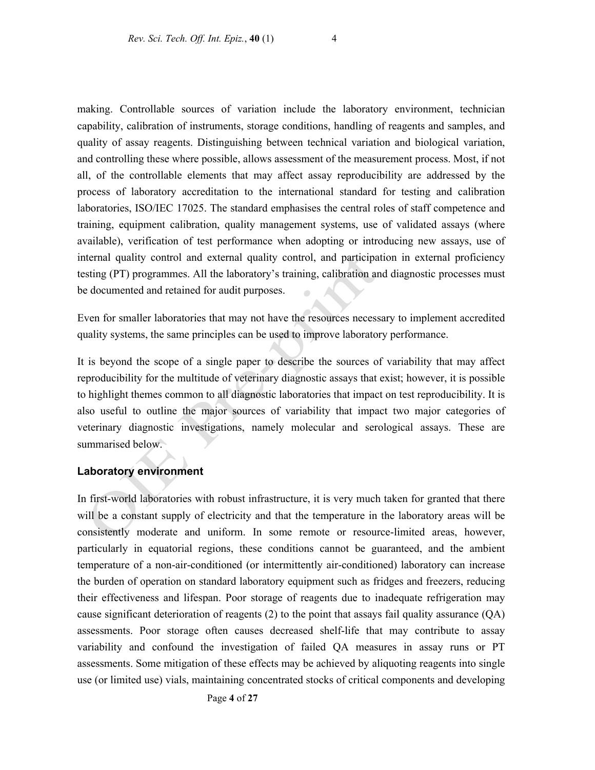making. Controllable sources of variation include the laboratory environment, technician capability, calibration of instruments, storage conditions, handling of reagents and samples, and quality of assay reagents. Distinguishing between technical variation and biological variation, and controlling these where possible, allows assessment of the measurement process. Most, if not all, of the controllable elements that may affect assay reproducibility are addressed by the process of laboratory accreditation to the international standard for testing and calibration laboratories, ISO/IEC 17025. The standard emphasises the central roles of staff competence and training, equipment calibration, quality management systems, use of validated assays (where available), verification of test performance when adopting or introducing new assays, use of internal quality control and external quality control, and participation in external proficiency testing (PT) programmes. All the laboratory's training, calibration and diagnostic processes must be documented and retained for audit purposes.

Even for smaller laboratories that may not have the resources necessary to implement accredited quality systems, the same principles can be used to improve laboratory performance.

It is beyond the scope of a single paper to describe the sources of variability that may affect reproducibility for the multitude of veterinary diagnostic assays that exist; however, it is possible to highlight themes common to all diagnostic laboratories that impact on test reproducibility. It is also useful to outline the major sources of variability that impact two major categories of veterinary diagnostic investigations, namely molecular and serological assays. These are summarised below.

### **Laboratory environment**

In first-world laboratories with robust infrastructure, it is very much taken for granted that there will be a constant supply of electricity and that the temperature in the laboratory areas will be consistently moderate and uniform. In some remote or resource-limited areas, however, particularly in equatorial regions, these conditions cannot be guaranteed, and the ambient temperature of a non-air-conditioned (or intermittently air-conditioned) laboratory can increase the burden of operation on standard laboratory equipment such as fridges and freezers, reducing their effectiveness and lifespan. Poor storage of reagents due to inadequate refrigeration may cause significant deterioration of reagents (2) to the point that assays fail quality assurance (QA) assessments. Poor storage often causes decreased shelf-life that may contribute to assay variability and confound the investigation of failed QA measures in assay runs or PT assessments. Some mitigation of these effects may be achieved by aliquoting reagents into single use (or limited use) vials, maintaining concentrated stocks of critical components and developing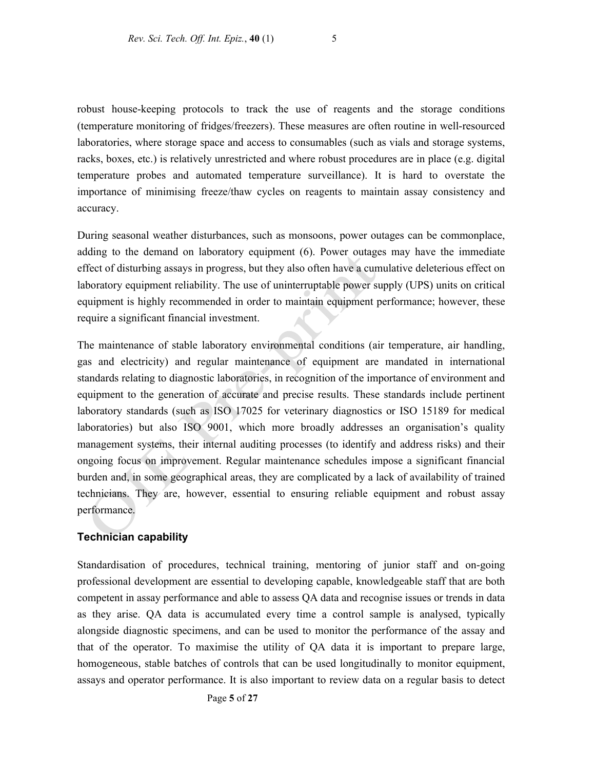robust house-keeping protocols to track the use of reagents and the storage conditions (temperature monitoring of fridges/freezers). These measures are often routine in well-resourced laboratories, where storage space and access to consumables (such as vials and storage systems, racks, boxes, etc.) is relatively unrestricted and where robust procedures are in place (e.g. digital temperature probes and automated temperature surveillance). It is hard to overstate the importance of minimising freeze/thaw cycles on reagents to maintain assay consistency and accuracy.

During seasonal weather disturbances, such as monsoons, power outages can be commonplace, adding to the demand on laboratory equipment (6). Power outages may have the immediate effect of disturbing assays in progress, but they also often have a cumulative deleterious effect on laboratory equipment reliability. The use of uninterruptable power supply (UPS) units on critical equipment is highly recommended in order to maintain equipment performance; however, these require a significant financial investment.

The maintenance of stable laboratory environmental conditions (air temperature, air handling, gas and electricity) and regular maintenance of equipment are mandated in international standards relating to diagnostic laboratories, in recognition of the importance of environment and equipment to the generation of accurate and precise results. These standards include pertinent laboratory standards (such as ISO 17025 for veterinary diagnostics or ISO 15189 for medical laboratories) but also ISO 9001, which more broadly addresses an organisation's quality management systems, their internal auditing processes (to identify and address risks) and their ongoing focus on improvement. Regular maintenance schedules impose a significant financial burden and, in some geographical areas, they are complicated by a lack of availability of trained technicians. They are, however, essential to ensuring reliable equipment and robust assay performance.

### **Technician capability**

Standardisation of procedures, technical training, mentoring of junior staff and on-going professional development are essential to developing capable, knowledgeable staff that are both competent in assay performance and able to assess QA data and recognise issues or trends in data as they arise. QA data is accumulated every time a control sample is analysed, typically alongside diagnostic specimens, and can be used to monitor the performance of the assay and that of the operator. To maximise the utility of QA data it is important to prepare large, homogeneous, stable batches of controls that can be used longitudinally to monitor equipment, assays and operator performance. It is also important to review data on a regular basis to detect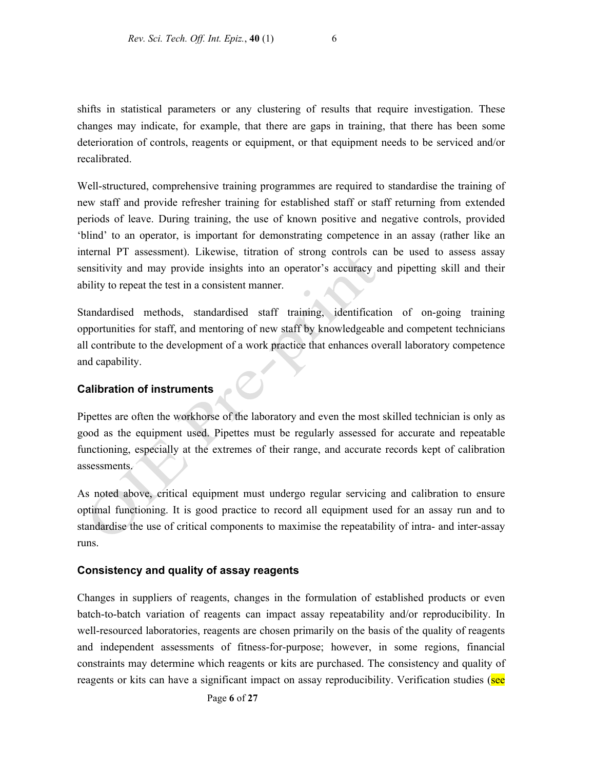shifts in statistical parameters or any clustering of results that require investigation. These changes may indicate, for example, that there are gaps in training, that there has been some deterioration of controls, reagents or equipment, or that equipment needs to be serviced and/or recalibrated.

Well-structured, comprehensive training programmes are required to standardise the training of new staff and provide refresher training for established staff or staff returning from extended periods of leave. During training, the use of known positive and negative controls, provided 'blind' to an operator, is important for demonstrating competence in an assay (rather like an internal PT assessment). Likewise, titration of strong controls can be used to assess assay sensitivity and may provide insights into an operator's accuracy and pipetting skill and their ability to repeat the test in a consistent manner.

Standardised methods, standardised staff training, identification of on-going training opportunities for staff, and mentoring of new staff by knowledgeable and competent technicians all contribute to the development of a work practice that enhances overall laboratory competence and capability.

### **Calibration of instruments**

Pipettes are often the workhorse of the laboratory and even the most skilled technician is only as good as the equipment used. Pipettes must be regularly assessed for accurate and repeatable functioning, especially at the extremes of their range, and accurate records kept of calibration assessments.

As noted above, critical equipment must undergo regular servicing and calibration to ensure optimal functioning. It is good practice to record all equipment used for an assay run and to standardise the use of critical components to maximise the repeatability of intra- and inter-assay runs.

### **Consistency and quality of assay reagents**

Changes in suppliers of reagents, changes in the formulation of established products or even batch-to-batch variation of reagents can impact assay repeatability and/or reproducibility. In well-resourced laboratories, reagents are chosen primarily on the basis of the quality of reagents and independent assessments of fitness-for-purpose; however, in some regions, financial constraints may determine which reagents or kits are purchased. The consistency and quality of reagents or kits can have a significant impact on assay reproducibility. Verification studies (see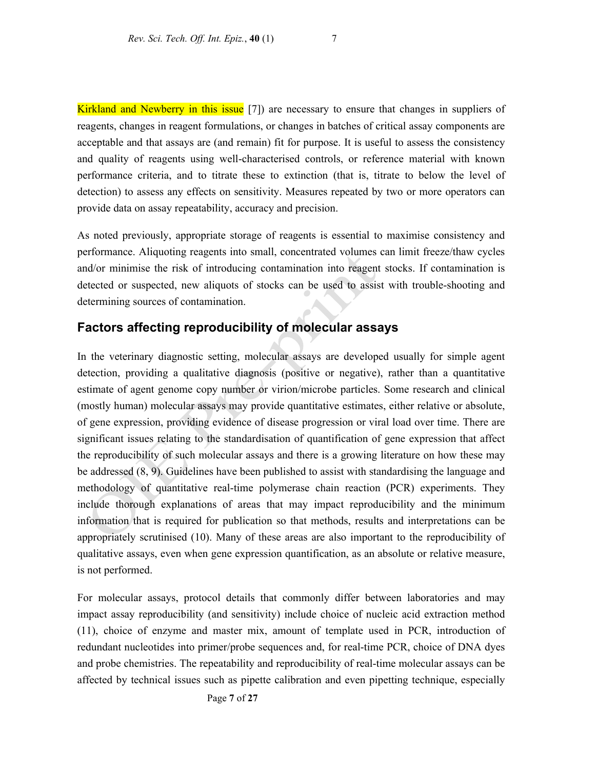Kirkland and Newberry in this issue [7]) are necessary to ensure that changes in suppliers of reagents, changes in reagent formulations, or changes in batches of critical assay components are acceptable and that assays are (and remain) fit for purpose. It is useful to assess the consistency and quality of reagents using well-characterised controls, or reference material with known performance criteria, and to titrate these to extinction (that is, titrate to below the level of detection) to assess any effects on sensitivity. Measures repeated by two or more operators can provide data on assay repeatability, accuracy and precision.

As noted previously, appropriate storage of reagents is essential to maximise consistency and performance. Aliquoting reagents into small, concentrated volumes can limit freeze/thaw cycles and/or minimise the risk of introducing contamination into reagent stocks. If contamination is detected or suspected, new aliquots of stocks can be used to assist with trouble-shooting and determining sources of contamination.

## **Factors affecting reproducibility of molecular assays**

In the veterinary diagnostic setting, molecular assays are developed usually for simple agent detection, providing a qualitative diagnosis (positive or negative), rather than a quantitative estimate of agent genome copy number or virion/microbe particles. Some research and clinical (mostly human) molecular assays may provide quantitative estimates, either relative or absolute, of gene expression, providing evidence of disease progression or viral load over time. There are significant issues relating to the standardisation of quantification of gene expression that affect the reproducibility of such molecular assays and there is a growing literature on how these may be addressed (8, 9). Guidelines have been published to assist with standardising the language and methodology of quantitative real-time polymerase chain reaction (PCR) experiments. They include thorough explanations of areas that may impact reproducibility and the minimum information that is required for publication so that methods, results and interpretations can be appropriately scrutinised (10). Many of these areas are also important to the reproducibility of qualitative assays, even when gene expression quantification, as an absolute or relative measure, is not performed.

For molecular assays, protocol details that commonly differ between laboratories and may impact assay reproducibility (and sensitivity) include choice of nucleic acid extraction method (11), choice of enzyme and master mix, amount of template used in PCR, introduction of redundant nucleotides into primer/probe sequences and, for real-time PCR, choice of DNA dyes and probe chemistries. The repeatability and reproducibility of real-time molecular assays can be affected by technical issues such as pipette calibration and even pipetting technique, especially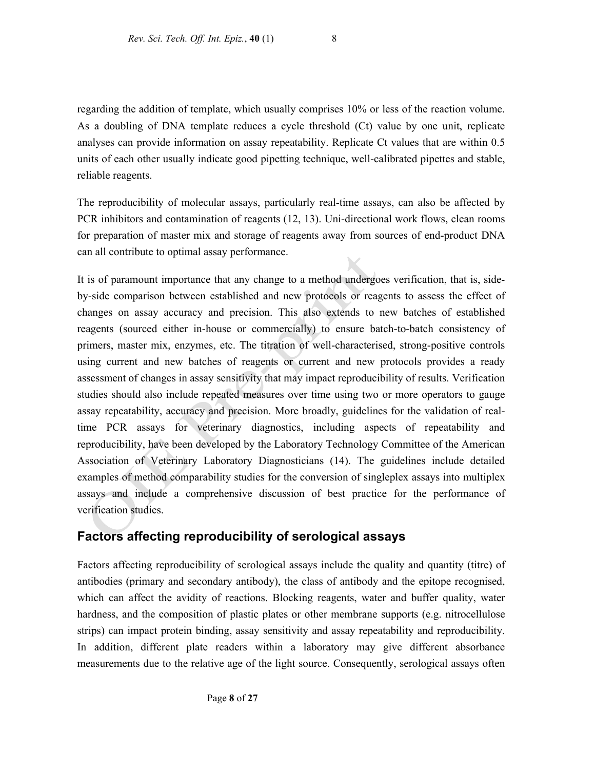regarding the addition of template, which usually comprises 10% or less of the reaction volume. As a doubling of DNA template reduces a cycle threshold (Ct) value by one unit, replicate analyses can provide information on assay repeatability. Replicate Ct values that are within 0.5 units of each other usually indicate good pipetting technique, well-calibrated pipettes and stable, reliable reagents.

The reproducibility of molecular assays, particularly real-time assays, can also be affected by PCR inhibitors and contamination of reagents (12, 13). Uni-directional work flows, clean rooms for preparation of master mix and storage of reagents away from sources of end-product DNA can all contribute to optimal assay performance.

It is of paramount importance that any change to a method undergoes verification, that is, sideby-side comparison between established and new protocols or reagents to assess the effect of changes on assay accuracy and precision. This also extends to new batches of established reagents (sourced either in-house or commercially) to ensure batch-to-batch consistency of primers, master mix, enzymes, etc. The titration of well-characterised, strong-positive controls using current and new batches of reagents or current and new protocols provides a ready assessment of changes in assay sensitivity that may impact reproducibility of results. Verification studies should also include repeated measures over time using two or more operators to gauge assay repeatability, accuracy and precision. More broadly, guidelines for the validation of realtime PCR assays for veterinary diagnostics, including aspects of repeatability and reproducibility, have been developed by the Laboratory Technology Committee of the American Association of Veterinary Laboratory Diagnosticians (14). The guidelines include detailed examples of method comparability studies for the conversion of singleplex assays into multiplex assays and include a comprehensive discussion of best practice for the performance of verification studies.

## **Factors affecting reproducibility of serological assays**

Factors affecting reproducibility of serological assays include the quality and quantity (titre) of antibodies (primary and secondary antibody), the class of antibody and the epitope recognised, which can affect the avidity of reactions. Blocking reagents, water and buffer quality, water hardness, and the composition of plastic plates or other membrane supports (e.g. nitrocellulose strips) can impact protein binding, assay sensitivity and assay repeatability and reproducibility. In addition, different plate readers within a laboratory may give different absorbance measurements due to the relative age of the light source. Consequently, serological assays often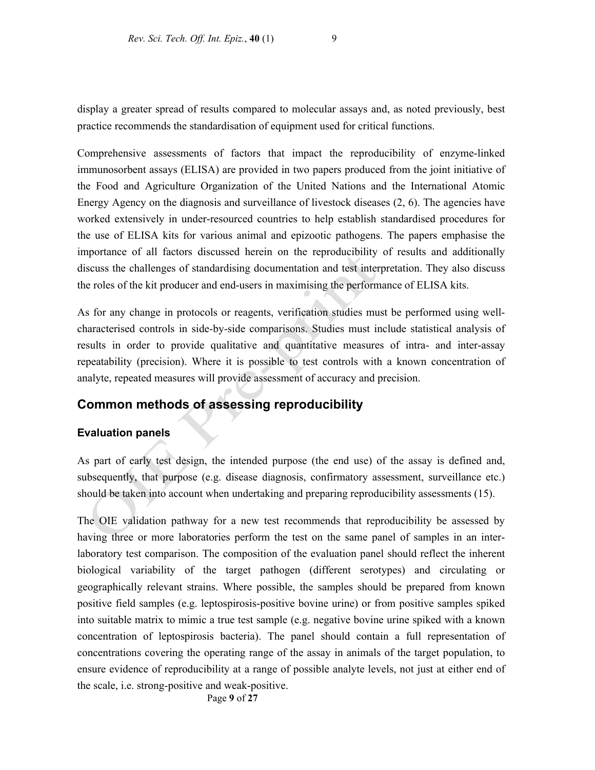display a greater spread of results compared to molecular assays and, as noted previously, best practice recommends the standardisation of equipment used for critical functions.

Comprehensive assessments of factors that impact the reproducibility of enzyme-linked immunosorbent assays (ELISA) are provided in two papers produced from the joint initiative of the Food and Agriculture Organization of the United Nations and the International Atomic Energy Agency on the diagnosis and surveillance of livestock diseases (2, 6). The agencies have worked extensively in under-resourced countries to help establish standardised procedures for the use of ELISA kits for various animal and epizootic pathogens. The papers emphasise the importance of all factors discussed herein on the reproducibility of results and additionally discuss the challenges of standardising documentation and test interpretation. They also discuss the roles of the kit producer and end-users in maximising the performance of ELISA kits.

As for any change in protocols or reagents, verification studies must be performed using wellcharacterised controls in side-by-side comparisons. Studies must include statistical analysis of results in order to provide qualitative and quantitative measures of intra- and inter-assay repeatability (precision). Where it is possible to test controls with a known concentration of analyte, repeated measures will provide assessment of accuracy and precision.

# **Common methods of assessing reproducibility**

### **Evaluation panels**

As part of early test design, the intended purpose (the end use) of the assay is defined and, subsequently, that purpose (e.g. disease diagnosis, confirmatory assessment, surveillance etc.) should be taken into account when undertaking and preparing reproducibility assessments (15).

The OIE validation pathway for a new test recommends that reproducibility be assessed by having three or more laboratories perform the test on the same panel of samples in an interlaboratory test comparison. The composition of the evaluation panel should reflect the inherent biological variability of the target pathogen (different serotypes) and circulating or geographically relevant strains. Where possible, the samples should be prepared from known positive field samples (e.g. leptospirosis-positive bovine urine) or from positive samples spiked into suitable matrix to mimic a true test sample (e.g. negative bovine urine spiked with a known concentration of leptospirosis bacteria). The panel should contain a full representation of concentrations covering the operating range of the assay in animals of the target population, to ensure evidence of reproducibility at a range of possible analyte levels, not just at either end of the scale, i.e. strong-positive and weak-positive.

Page **9** of **27**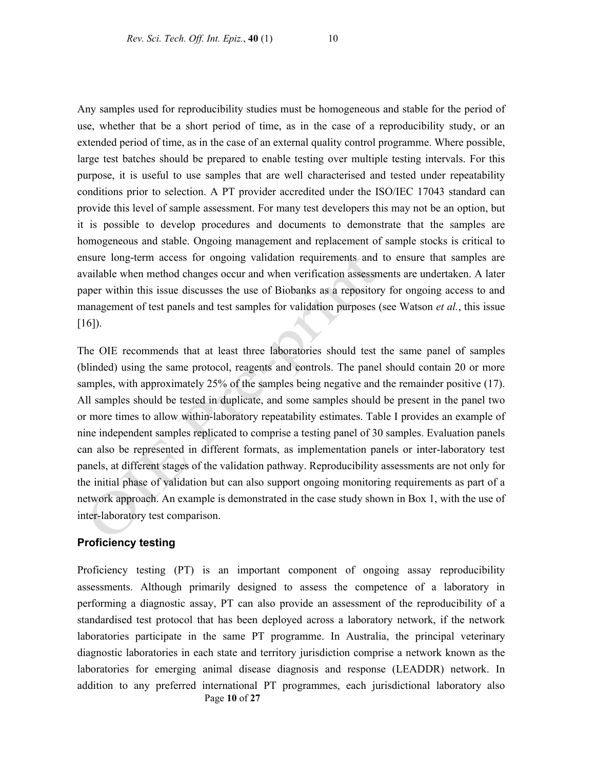Any samples used for reproducibility studies must be homogeneous and stable for the period of use, whether that be a short period of time, as in the case of a reproducibility study, or an extended period of time, as in the case of an external quality control programme. Where possible, large test batches should be prepared to enable testing over multiple testing intervals. For this purpose, it is useful to use samples that are well characterised and tested under repeatability conditions prior to selection. A PT provider accredited under the ISO/IEC 17043 standard can provide this level of sample assessment. For many test developers this may not be an option, but it is possible to develop procedures and documents to demonstrate that the samples are homogeneous and stable. Ongoing management and replacement of sample stocks is critical to ensure long-term access for ongoing validation requirements and to ensure that samples are available when method changes occur and when verification assessments are undertaken. A later paper within this issue discusses the use of Biobanks as a repository for ongoing access to and management of test panels and test samples for validation purposes (see Watson *et al.*, this issue  $[16]$ ).

The OIE recommends that at least three laboratories should test the same panel of samples (blinded) using the same protocol, reagents and controls. The panel should contain 20 or more samples, with approximately 25% of the samples being negative and the remainder positive (17). All samples should be tested in duplicate, and some samples should be present in the panel two or more times to allow within-laboratory repeatability estimates. Table I provides an example of nine independent samples replicated to comprise a testing panel of 30 samples. Evaluation panels can also be represented in different formats, as implementation panels or inter-laboratory test panels, at different stages of the validation pathway. Reproducibility assessments are not only for the initial phase of validation but can also support ongoing monitoring requirements as part of a network approach. An example is demonstrated in the case study shown in Box 1, with the use of inter-laboratory test comparison.

### **Proficiency testing**

Page **10** of **27** Proficiency testing (PT) is an important component of ongoing assay reproducibility assessments. Although primarily designed to assess the competence of a laboratory in performing a diagnostic assay, PT can also provide an assessment of the reproducibility of a standardised test protocol that has been deployed across a laboratory network, if the network laboratories participate in the same PT programme. In Australia, the principal veterinary diagnostic laboratories in each state and territory jurisdiction comprise a network known as the laboratories for emerging animal disease diagnosis and response (LEADDR) network. In addition to any preferred international PT programmes, each jurisdictional laboratory also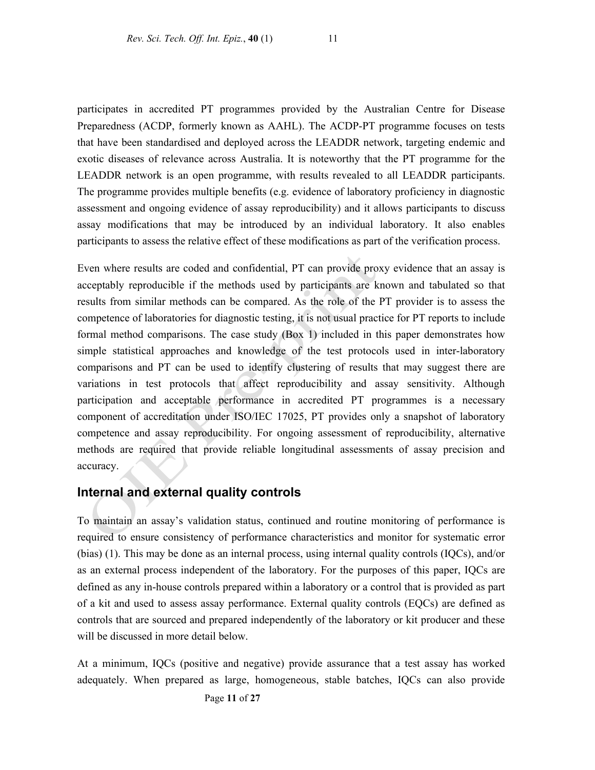participates in accredited PT programmes provided by the Australian Centre for Disease Preparedness (ACDP, formerly known as AAHL). The ACDP-PT programme focuses on tests that have been standardised and deployed across the LEADDR network, targeting endemic and exotic diseases of relevance across Australia. It is noteworthy that the PT programme for the LEADDR network is an open programme, with results revealed to all LEADDR participants. The programme provides multiple benefits (e.g. evidence of laboratory proficiency in diagnostic assessment and ongoing evidence of assay reproducibility) and it allows participants to discuss assay modifications that may be introduced by an individual laboratory. It also enables participants to assess the relative effect of these modifications as part of the verification process.

Even where results are coded and confidential, PT can provide proxy evidence that an assay is acceptably reproducible if the methods used by participants are known and tabulated so that results from similar methods can be compared. As the role of the PT provider is to assess the competence of laboratories for diagnostic testing, it is not usual practice for PT reports to include formal method comparisons. The case study (Box 1) included in this paper demonstrates how simple statistical approaches and knowledge of the test protocols used in inter-laboratory comparisons and PT can be used to identify clustering of results that may suggest there are variations in test protocols that affect reproducibility and assay sensitivity. Although participation and acceptable performance in accredited PT programmes is a necessary component of accreditation under ISO/IEC 17025, PT provides only a snapshot of laboratory competence and assay reproducibility. For ongoing assessment of reproducibility, alternative methods are required that provide reliable longitudinal assessments of assay precision and accuracy.

## **Internal and external quality controls**

To maintain an assay's validation status, continued and routine monitoring of performance is required to ensure consistency of performance characteristics and monitor for systematic error (bias) (1). This may be done as an internal process, using internal quality controls (IQCs), and/or as an external process independent of the laboratory. For the purposes of this paper, IQCs are defined as any in-house controls prepared within a laboratory or a control that is provided as part of a kit and used to assess assay performance. External quality controls (EQCs) are defined as controls that are sourced and prepared independently of the laboratory or kit producer and these will be discussed in more detail below.

At a minimum, IQCs (positive and negative) provide assurance that a test assay has worked adequately. When prepared as large, homogeneous, stable batches, IQCs can also provide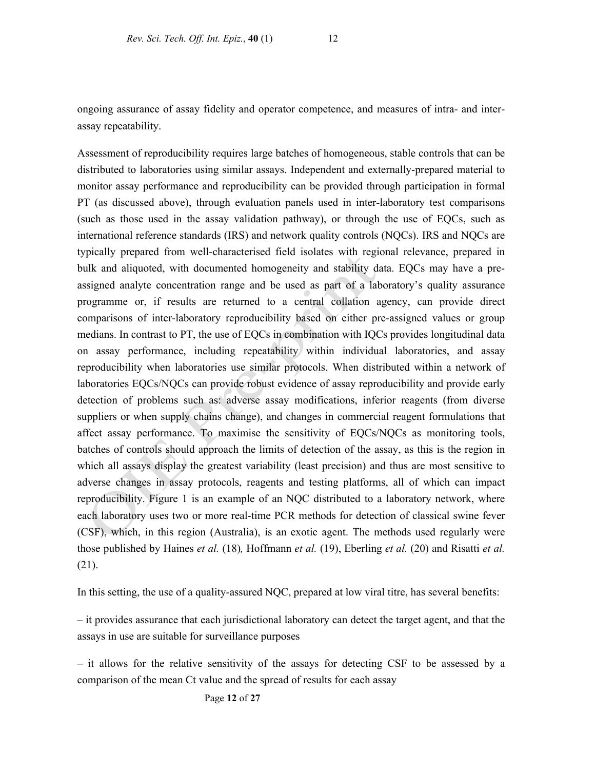ongoing assurance of assay fidelity and operator competence, and measures of intra- and interassay repeatability.

Assessment of reproducibility requires large batches of homogeneous, stable controls that can be distributed to laboratories using similar assays. Independent and externally-prepared material to monitor assay performance and reproducibility can be provided through participation in formal PT (as discussed above), through evaluation panels used in inter-laboratory test comparisons (such as those used in the assay validation pathway), or through the use of EQCs, such as international reference standards (IRS) and network quality controls (NQCs). IRS and NQCs are typically prepared from well-characterised field isolates with regional relevance, prepared in bulk and aliquoted, with documented homogeneity and stability data. EQCs may have a preassigned analyte concentration range and be used as part of a laboratory's quality assurance programme or, if results are returned to a central collation agency, can provide direct comparisons of inter-laboratory reproducibility based on either pre-assigned values or group medians. In contrast to PT, the use of EQCs in combination with IQCs provides longitudinal data on assay performance, including repeatability within individual laboratories, and assay reproducibility when laboratories use similar protocols. When distributed within a network of laboratories EQCs/NQCs can provide robust evidence of assay reproducibility and provide early detection of problems such as: adverse assay modifications, inferior reagents (from diverse suppliers or when supply chains change), and changes in commercial reagent formulations that affect assay performance. To maximise the sensitivity of EQCs/NQCs as monitoring tools, batches of controls should approach the limits of detection of the assay, as this is the region in which all assays display the greatest variability (least precision) and thus are most sensitive to adverse changes in assay protocols, reagents and testing platforms, all of which can impact reproducibility. Figure 1 is an example of an NQC distributed to a laboratory network, where each laboratory uses two or more real-time PCR methods for detection of classical swine fever (CSF), which, in this region (Australia), is an exotic agent. The methods used regularly were those published by Haines *et al.* (18)*,* Hoffmann *et al.* (19), Eberling *et al.* (20) and Risatti *et al.*  (21).

In this setting, the use of a quality-assured NQC, prepared at low viral titre, has several benefits:

– it provides assurance that each jurisdictional laboratory can detect the target agent, and that the assays in use are suitable for surveillance purposes

– it allows for the relative sensitivity of the assays for detecting CSF to be assessed by a comparison of the mean Ct value and the spread of results for each assay

Page **12** of **27**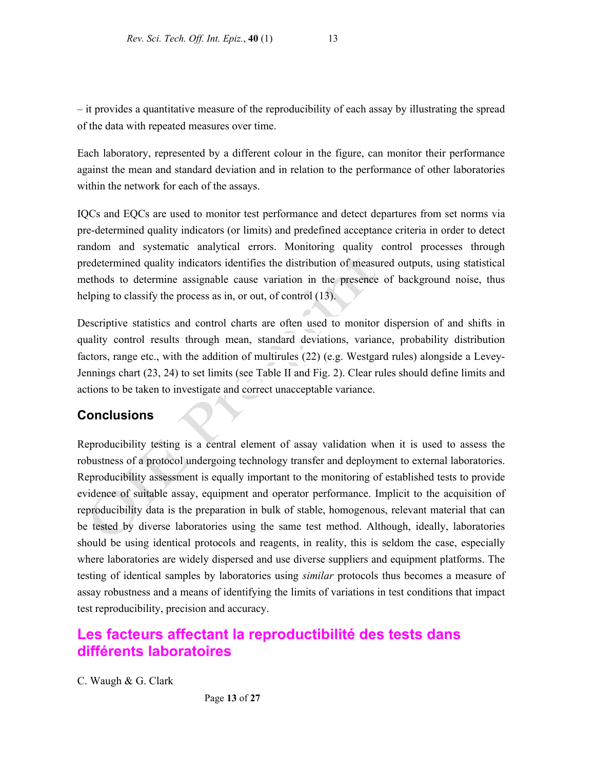– it provides a quantitative measure of the reproducibility of each assay by illustrating the spread of the data with repeated measures over time.

Each laboratory, represented by a different colour in the figure, can monitor their performance against the mean and standard deviation and in relation to the performance of other laboratories within the network for each of the assays.

IQCs and EQCs are used to monitor test performance and detect departures from set norms via pre-determined quality indicators (or limits) and predefined acceptance criteria in order to detect random and systematic analytical errors. Monitoring quality control processes through predetermined quality indicators identifies the distribution of measured outputs, using statistical methods to determine assignable cause variation in the presence of background noise, thus helping to classify the process as in, or out, of control (13).

Descriptive statistics and control charts are often used to monitor dispersion of and shifts in quality control results through mean, standard deviations, variance, probability distribution factors, range etc., with the addition of multirules (22) (e.g. Westgard rules) alongside a Levey-Jennings chart (23, 24) to set limits (see Table II and Fig. 2). Clear rules should define limits and actions to be taken to investigate and correct unacceptable variance.

# **Conclusions**

Reproducibility testing is a central element of assay validation when it is used to assess the robustness of a protocol undergoing technology transfer and deployment to external laboratories. Reproducibility assessment is equally important to the monitoring of established tests to provide evidence of suitable assay, equipment and operator performance. Implicit to the acquisition of reproducibility data is the preparation in bulk of stable, homogenous, relevant material that can be tested by diverse laboratories using the same test method. Although, ideally, laboratories should be using identical protocols and reagents, in reality, this is seldom the case, especially where laboratories are widely dispersed and use diverse suppliers and equipment platforms. The testing of identical samples by laboratories using *similar* protocols thus becomes a measure of assay robustness and a means of identifying the limits of variations in test conditions that impact test reproducibility, precision and accuracy.

# **Les facteurs affectant la reproductibilité des tests dans différents laboratoires**

C. Waugh & G. Clark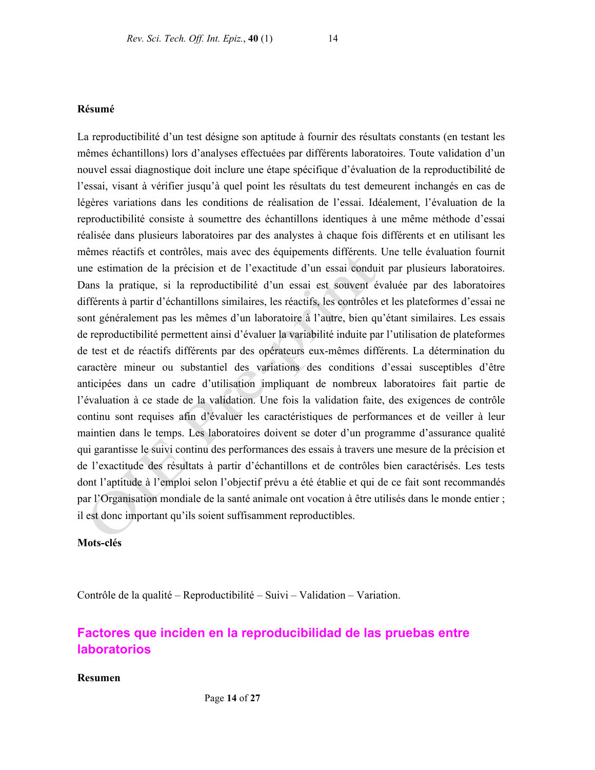### **Résumé**

La reproductibilité d'un test désigne son aptitude à fournir des résultats constants (en testant les mêmes échantillons) lors d'analyses effectuées par différents laboratoires. Toute validation d'un nouvel essai diagnostique doit inclure une étape spécifique d'évaluation de la reproductibilité de l'essai, visant à vérifier jusqu'à quel point les résultats du test demeurent inchangés en cas de légères variations dans les conditions de réalisation de l'essai. Idéalement, l'évaluation de la reproductibilité consiste à soumettre des échantillons identiques à une même méthode d'essai réalisée dans plusieurs laboratoires par des analystes à chaque fois différents et en utilisant les mêmes réactifs et contrôles, mais avec des équipements différents. Une telle évaluation fournit une estimation de la précision et de l'exactitude d'un essai conduit par plusieurs laboratoires. Dans la pratique, si la reproductibilité d'un essai est souvent évaluée par des laboratoires différents à partir d'échantillons similaires, les réactifs, les contrôles et les plateformes d'essai ne sont généralement pas les mêmes d'un laboratoire à l'autre, bien qu'étant similaires. Les essais de reproductibilité permettent ainsi d'évaluer la variabilité induite par l'utilisation de plateformes de test et de réactifs différents par des opérateurs eux-mêmes différents. La détermination du caractère mineur ou substantiel des variations des conditions d'essai susceptibles d'être anticipées dans un cadre d'utilisation impliquant de nombreux laboratoires fait partie de l'évaluation à ce stade de la validation. Une fois la validation faite, des exigences de contrôle continu sont requises afin d'évaluer les caractéristiques de performances et de veiller à leur maintien dans le temps. Les laboratoires doivent se doter d'un programme d'assurance qualité qui garantisse le suivi continu des performances des essais à travers une mesure de la précision et de l'exactitude des résultats à partir d'échantillons et de contrôles bien caractérisés. Les tests dont l'aptitude à l'emploi selon l'objectif prévu a été établie et qui de ce fait sont recommandés par l'Organisation mondiale de la santé animale ont vocation à être utilisés dans le monde entier ; il est donc important qu'ils soient suffisamment reproductibles.

**Mots-clés** 

Contrôle de la qualité – Reproductibilité – Suivi – Validation – Variation.

# **Factores que inciden en la reproducibilidad de las pruebas entre laboratorios**

### **Resumen**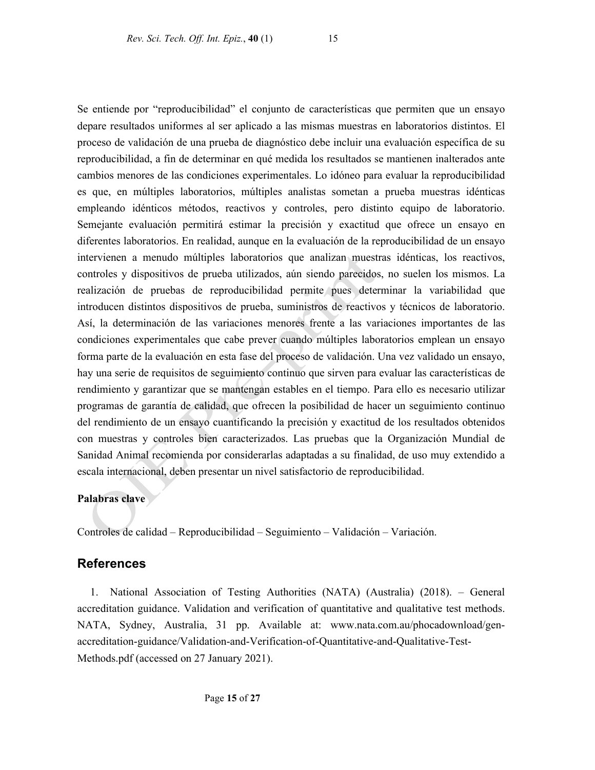Se entiende por "reproducibilidad" el conjunto de características que permiten que un ensayo depare resultados uniformes al ser aplicado a las mismas muestras en laboratorios distintos. El proceso de validación de una prueba de diagnóstico debe incluir una evaluación específica de su reproducibilidad, a fin de determinar en qué medida los resultados se mantienen inalterados ante cambios menores de las condiciones experimentales. Lo idóneo para evaluar la reproducibilidad es que, en múltiples laboratorios, múltiples analistas sometan a prueba muestras idénticas empleando idénticos métodos, reactivos y controles, pero distinto equipo de laboratorio. Semejante evaluación permitirá estimar la precisión y exactitud que ofrece un ensayo en diferentes laboratorios. En realidad, aunque en la evaluación de la reproducibilidad de un ensayo intervienen a menudo múltiples laboratorios que analizan muestras idénticas, los reactivos, controles y dispositivos de prueba utilizados, aún siendo parecidos, no suelen los mismos. La realización de pruebas de reproducibilidad permite pues determinar la variabilidad que introducen distintos dispositivos de prueba, suministros de reactivos y técnicos de laboratorio. Así, la determinación de las variaciones menores frente a las variaciones importantes de las condiciones experimentales que cabe prever cuando múltiples laboratorios emplean un ensayo forma parte de la evaluación en esta fase del proceso de validación. Una vez validado un ensayo, hay una serie de requisitos de seguimiento continuo que sirven para evaluar las características de rendimiento y garantizar que se mantengan estables en el tiempo. Para ello es necesario utilizar programas de garantía de calidad, que ofrecen la posibilidad de hacer un seguimiento continuo del rendimiento de un ensayo cuantificando la precisión y exactitud de los resultados obtenidos con muestras y controles bien caracterizados. Las pruebas que la Organización Mundial de Sanidad Animal recomienda por considerarlas adaptadas a su finalidad, de uso muy extendido a escala internacional, deben presentar un nivel satisfactorio de reproducibilidad.

### **Palabras clave**

Controles de calidad – Reproducibilidad – Seguimiento – Validación – Variación.

## **References**

1. National Association of Testing Authorities (NATA) (Australia) (2018). – General accreditation guidance. Validation and verification of quantitative and qualitative test methods. NATA, Sydney, Australia, 31 pp. Available at: www.nata.com.au/phocadownload/genaccreditation-guidance/Validation-and-Verification-of-Quantitative-and-Qualitative-Test-Methods.pdf (accessed on 27 January 2021).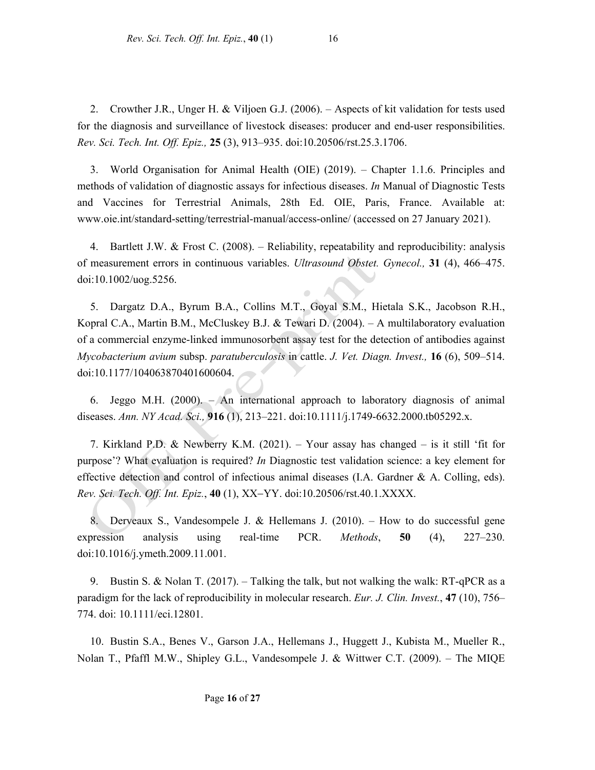2. Crowther J.R., Unger H. & Viljoen G.J. (2006). – Aspects of kit validation for tests used for the diagnosis and surveillance of livestock diseases: producer and end-user responsibilities. *Rev. Sci. Tech. Int. Off. Epiz.,* **25** (3), 913–935. doi:10.20506/rst.25.3.1706.

3. World Organisation for Animal Health (OIE) (2019). – Chapter 1.1.6. Principles and methods of validation of diagnostic assays for infectious diseases. *In* Manual of Diagnostic Tests and Vaccines for Terrestrial Animals, 28th Ed. OIE, Paris, France. Available at: www.oie.int/standard-setting/terrestrial-manual/access-online/ (accessed on 27 January 2021).

4. Bartlett J.W. & Frost C. (2008). – Reliability, repeatability and reproducibility: analysis of measurement errors in continuous variables. *Ultrasound Obstet. Gynecol.,* **31** (4), 466–475. doi:10.1002/uog.5256.

5. Dargatz D.A., Byrum B.A., Collins M.T., Goyal S.M., Hietala S.K., Jacobson R.H., Kopral C.A., Martin B.M., McCluskey B.J. & Tewari D. (2004). – A multilaboratory evaluation of a commercial enzyme-linked immunosorbent assay test for the detection of antibodies against *Mycobacterium avium* subsp. *paratuberculosis* in cattle. *J. Vet. Diagn. Invest.,* **16** (6), 509–514. doi:10.1177/104063870401600604.

6. Jeggo M.H. (2000). – An international approach to laboratory diagnosis of animal diseases. *Ann. NY Acad. Sci.,* **916** (1), 213–221. doi:10.1111/j.1749-6632.2000.tb05292.x.

7. Kirkland P.D. & Newberry K.M. (2021). – Your assay has changed – is it still 'fit for purpose'? What evaluation is required? *In* Diagnostic test validation science: a key element for effective detection and control of infectious animal diseases (I.A. Gardner & A. Colling, eds). *Rev. Sci. Tech. Off. Int. Epiz.*, **40** (1), XX-YY. doi:10.20506/rst.40.1.XXXX.

8. Derveaux S., Vandesompele J. & Hellemans J. (2010). – How to do successful gene expression analysis using real-time PCR. *Methods*, **50** (4), 227–230. doi:10.1016/j.ymeth.2009.11.001.

9. Bustin S. & Nolan T. (2017). – Talking the talk, but not walking the walk: RT-qPCR as a paradigm for the lack of reproducibility in molecular research. *Eur. J. Clin. Invest.*, **47** (10), 756– 774. doi: 10.1111/eci.12801.

10. Bustin S.A., Benes V., Garson J.A., Hellemans J., Huggett J., Kubista M., Mueller R., Nolan T., Pfaffl M.W., Shipley G.L., Vandesompele J. & Wittwer C.T. (2009). – The MIQE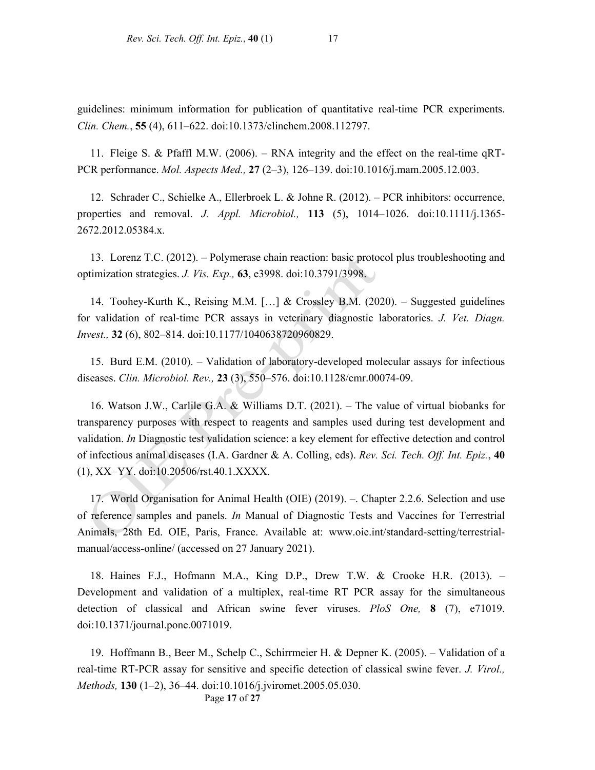guidelines: minimum information for publication of quantitative real-time PCR experiments. *Clin. Chem.*, **55** (4), 611–622. doi:10.1373/clinchem.2008.112797.

11. Fleige S. & Pfaffl M.W. (2006). – RNA integrity and the effect on the real-time qRT-PCR performance. *Mol. Aspects Med.,* **27** (2–3), 126–139. doi:10.1016/j.mam.2005.12.003.

12. Schrader C., Schielke A., Ellerbroek L. & Johne R. (2012). – PCR inhibitors: occurrence, properties and removal. *J. Appl. Microbiol.,* **113** (5), 1014–1026. doi:10.1111/j.1365- 2672.2012.05384.x.

13. Lorenz T.C. (2012). – Polymerase chain reaction: basic protocol plus troubleshooting and optimization strategies. *J. Vis. Exp.,* **63**, e3998. doi:10.3791/3998.

14. Toohey-Kurth K., Reising M.M. […] & Crossley B.M. (2020). – Suggested guidelines for validation of real-time PCR assays in veterinary diagnostic laboratories. *J. Vet. Diagn. Invest.,* **32** (6), 802–814. doi:10.1177/1040638720960829.

15. Burd E.M. (2010). – Validation of laboratory-developed molecular assays for infectious diseases. *Clin. Microbiol. Rev.,* **23** (3), 550–576. doi:10.1128/cmr.00074-09.

16. Watson J.W., Carlile G.A. & Williams D.T. (2021). – The value of virtual biobanks for transparency purposes with respect to reagents and samples used during test development and validation. *In* Diagnostic test validation science: a key element for effective detection and control of infectious animal diseases (I.A. Gardner & A. Colling, eds). *Rev. Sci. Tech. Off. Int. Epiz.*, **40**  $(1)$ , XX-YY. doi:10.20506/rst.40.1.XXXX.

17. World Organisation for Animal Health (OIE) (2019). –. Chapter 2.2.6. Selection and use of reference samples and panels. *In* Manual of Diagnostic Tests and Vaccines for Terrestrial Animals, 28th Ed. OIE, Paris, France. Available at: www.oie.int/standard-setting/terrestrialmanual/access-online/ (accessed on 27 January 2021).

18. Haines F.J., Hofmann M.A., King D.P., Drew T.W. & Crooke H.R. (2013). – Development and validation of a multiplex, real-time RT PCR assay for the simultaneous detection of classical and African swine fever viruses. *PloS One,* **8** (7), e71019. doi:10.1371/journal.pone.0071019.

19. Hoffmann B., Beer M., Schelp C., Schirrmeier H. & Depner K. (2005). – Validation of a real-time RT-PCR assay for sensitive and specific detection of classical swine fever. *J. Virol., Methods,* **130** (1–2), 36–44. doi:10.1016/j.jviromet.2005.05.030.

Page **17** of **27**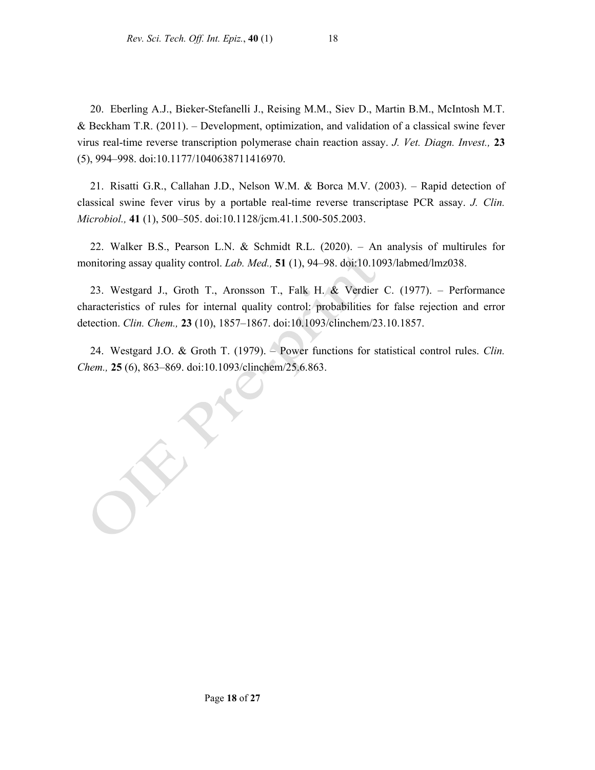20. Eberling A.J., Bieker-Stefanelli J., Reising M.M., Siev D., Martin B.M., McIntosh M.T. & Beckham T.R. (2011). – Development, optimization, and validation of a classical swine fever virus real-time reverse transcription polymerase chain reaction assay. *J. Vet. Diagn. Invest.,* **23** (5), 994–998. doi:10.1177/1040638711416970.

21. Risatti G.R., Callahan J.D., Nelson W.M. & Borca M.V. (2003). – Rapid detection of classical swine fever virus by a portable real-time reverse transcriptase PCR assay. *J. Clin. Microbiol.,* **41** (1), 500–505. doi:10.1128/jcm.41.1.500-505.2003.

22. Walker B.S., Pearson L.N. & Schmidt R.L. (2020). – An analysis of multirules for monitoring assay quality control. *Lab. Med.,* **51** (1), 94–98. doi:10.1093/labmed/lmz038.

23. Westgard J., Groth T., Aronsson T., Falk H. & Verdier C. (1977). – Performance characteristics of rules for internal quality control: probabilities for false rejection and error detection. *Clin. Chem.,* **23** (10), 1857–1867. doi:10.1093/clinchem/23.10.1857.

24. Westgard J.O. & Groth T. (1979). – Power functions for statistical control rules. *Clin. Chem.,* **25** (6), 863–869. doi:10.1093/clinchem/25.6.863.

ERT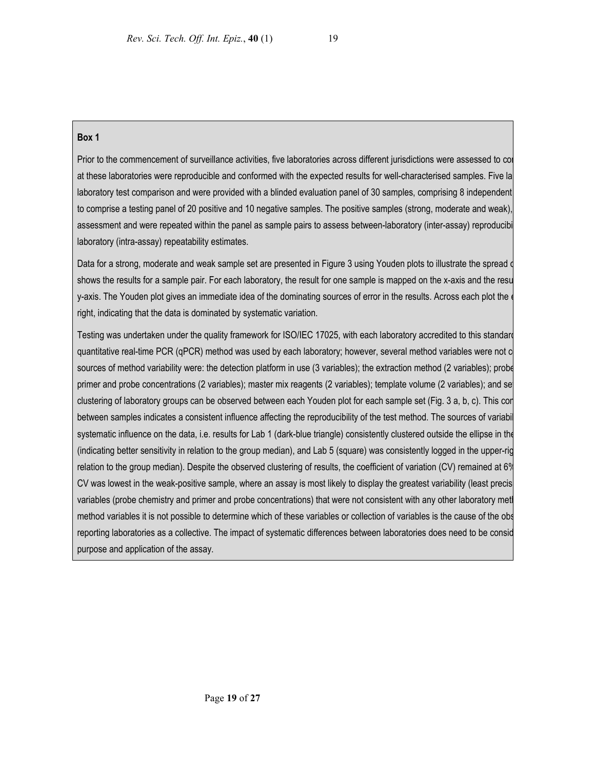### **Box 1**

Prior to the commencement of surveillance activities, five laboratories across different jurisdictions were assessed to con at these laboratories were reproducible and conformed with the expected results for well-characterised samples. Five la laboratory test comparison and were provided with a blinded evaluation panel of 30 samples, comprising 8 independent to comprise a testing panel of 20 positive and 10 negative samples. The positive samples (strong, moderate and weak), assessment and were repeated within the panel as sample pairs to assess between-laboratory (inter-assay) reproducibi laboratory (intra-assay) repeatability estimates.

Data for a strong, moderate and weak sample set are presented in Figure 3 using Youden plots to illustrate the spread o shows the results for a sample pair. For each laboratory, the result for one sample is mapped on the x-axis and the resu y-axis. The Youden plot gives an immediate idea of the dominating sources of error in the results. Across each plot the e right, indicating that the data is dominated by systematic variation.

Testing was undertaken under the quality framework for ISO/IEC 17025, with each laboratory accredited to this standard quantitative real-time PCR (qPCR) method was used by each laboratory; however, several method variables were not c sources of method variability were: the detection platform in use (3 variables); the extraction method (2 variables); probe primer and probe concentrations (2 variables); master mix reagents (2 variables); template volume (2 variables); and set clustering of laboratory groups can be observed between each Youden plot for each sample set (Fig. 3 a, b, c). This con between samples indicates a consistent influence affecting the reproducibility of the test method. The sources of variabil systematic influence on the data, i.e. results for Lab 1 (dark-blue triangle) consistently clustered outside the ellipse in the (indicating better sensitivity in relation to the group median), and Lab 5 (square) was consistently logged in the upper-rig relation to the group median). Despite the observed clustering of results, the coefficient of variation (CV) remained at 6% CV was lowest in the weak-positive sample, where an assay is most likely to display the greatest variability (least precis variables (probe chemistry and primer and probe concentrations) that were not consistent with any other laboratory meth method variables it is not possible to determine which of these variables or collection of variables is the cause of the obs reporting laboratories as a collective. The impact of systematic differences between laboratories does need to be consid purpose and application of the assay.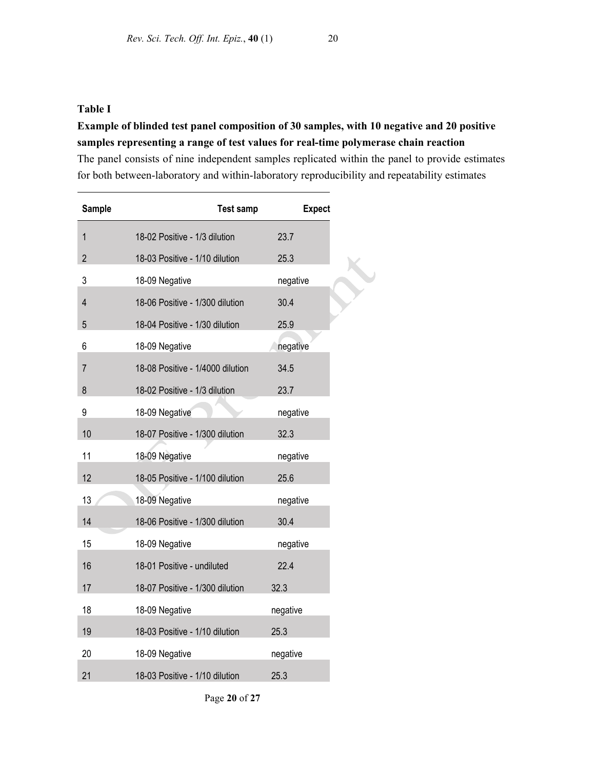## **Table I**

# **Example of blinded test panel composition of 30 samples, with 10 negative and 20 positive samples representing a range of test values for real-time polymerase chain reaction**

The panel consists of nine independent samples replicated within the panel to provide estimates for both between-laboratory and within-laboratory reproducibility and repeatability estimates

| <b>Sample</b>  | <b>Test samp</b>                 | <b>Expect</b> |
|----------------|----------------------------------|---------------|
| $\mathbf{1}$   | 18-02 Positive - 1/3 dilution    | 23.7          |
| $\overline{2}$ | 18-03 Positive - 1/10 dilution   | 25.3          |
| 3              | 18-09 Negative                   | negative      |
| $\overline{4}$ | 18-06 Positive - 1/300 dilution  | 30.4          |
| 5              | 18-04 Positive - 1/30 dilution   | 25.9          |
| 6              | 18-09 Negative                   | negative      |
| 7              | 18-08 Positive - 1/4000 dilution | 34.5          |
| 8              | 18-02 Positive - 1/3 dilution    | 23.7          |
| 9              | 18-09 Negative                   | negative      |
| 10             | 18-07 Positive - 1/300 dilution  | 32.3          |
| 11             | 18-09 Negative                   | negative      |
| 12             | 18-05 Positive - 1/100 dilution  | 25.6          |
| 13             | 18-09 Negative                   | negative      |
| 14             | 18-06 Positive - 1/300 dilution  | 30.4          |
| 15             | 18-09 Negative                   | negative      |
| 16             | 18-01 Positive - undiluted       | 22.4          |
| 17             | 18-07 Positive - 1/300 dilution  | 32.3          |
| 18             | 18-09 Negative                   | negative      |
| 19             | 18-03 Positive - 1/10 dilution   | 25.3          |
| 20             | 18-09 Negative                   | negative      |
| 21             | 18-03 Positive - 1/10 dilution   | 25.3          |

Page **20** of **27**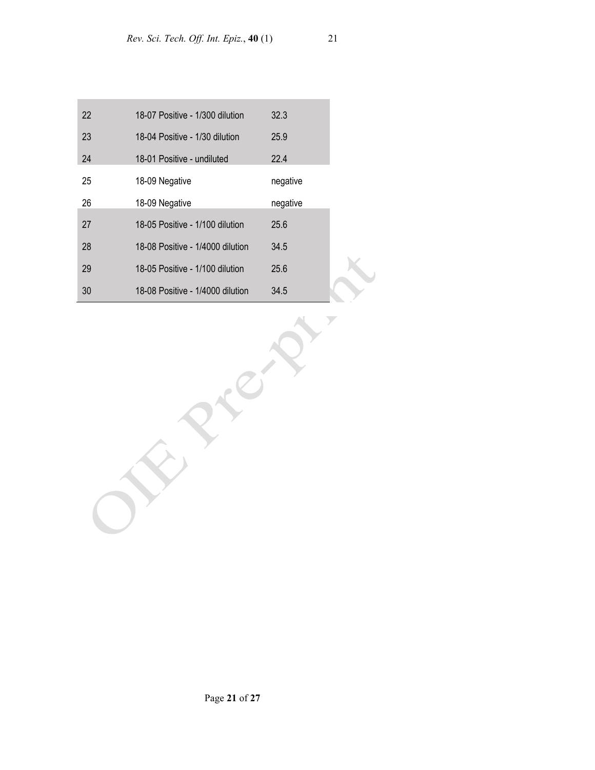| 22 | 18-07 Positive - 1/300 dilution  | 32.3     |  |
|----|----------------------------------|----------|--|
| 23 | 18-04 Positive - 1/30 dilution   | 25.9     |  |
| 24 | 18-01 Positive - undiluted       | 22.4     |  |
| 25 | 18-09 Negative                   | negative |  |
| 26 | 18-09 Negative                   | negative |  |
| 27 | 18-05 Positive - 1/100 dilution  | 25.6     |  |
| 28 | 18-08 Positive - 1/4000 dilution | 34.5     |  |
| 29 | 18-05 Positive - 1/100 dilution  | 25.6     |  |
| 30 | 18-08 Positive - 1/4000 dilution | 34.5     |  |

RICH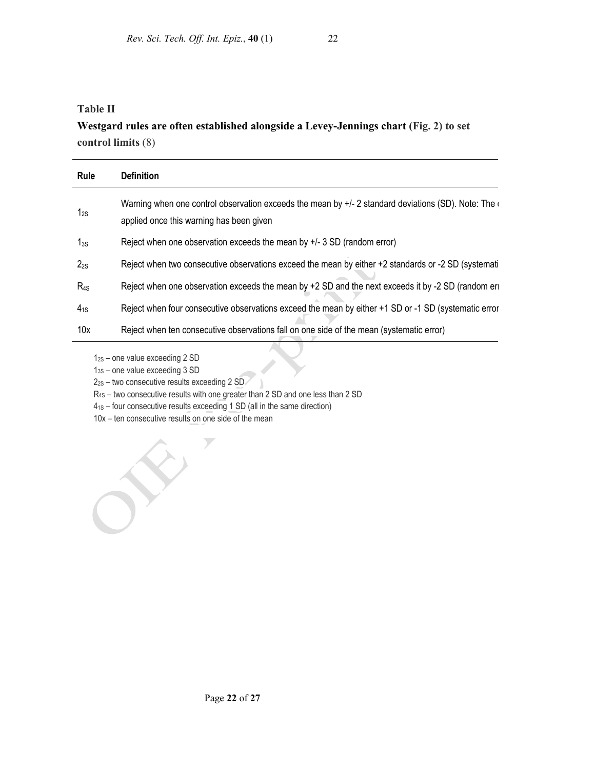# **Table II Westgard rules are often established alongside a Levey-Jennings chart (Fig. 2) to set control limits** (8)

| Rule     | <b>Definition</b>                                                                                                                               |
|----------|-------------------------------------------------------------------------------------------------------------------------------------------------|
| $1_{2S}$ | Warning when one control observation exceeds the mean by $+/-2$ standard deviations (SD). Note: The<br>applied once this warning has been given |
| $1_{3S}$ | Reject when one observation exceeds the mean by $+/-$ 3 SD (random error)                                                                       |
| $2_{2S}$ | Reject when two consecutive observations exceed the mean by either +2 standards or -2 SD (systemati                                             |
| $R_{4S}$ | Reject when one observation exceeds the mean by $+2$ SD and the next exceeds it by -2 SD (random en                                             |
| $4_{1S}$ | Reject when four consecutive observations exceed the mean by either +1 SD or -1 SD (systematic error                                            |
| 10x      | Reject when ten consecutive observations fall on one side of the mean (systematic error)                                                        |

12S – one value exceeding 2 SD

13S – one value exceeding 3 SD

- 2<sub>2S</sub> two consecutive results exceeding 2 SD
- R4S two consecutive results with one greater than 2 SD and one less than 2 SD
- 41S four consecutive results exceeding 1 SD (all in the same direction)

 $\overline{y}$ 

10x – ten consecutive results on one side of the mean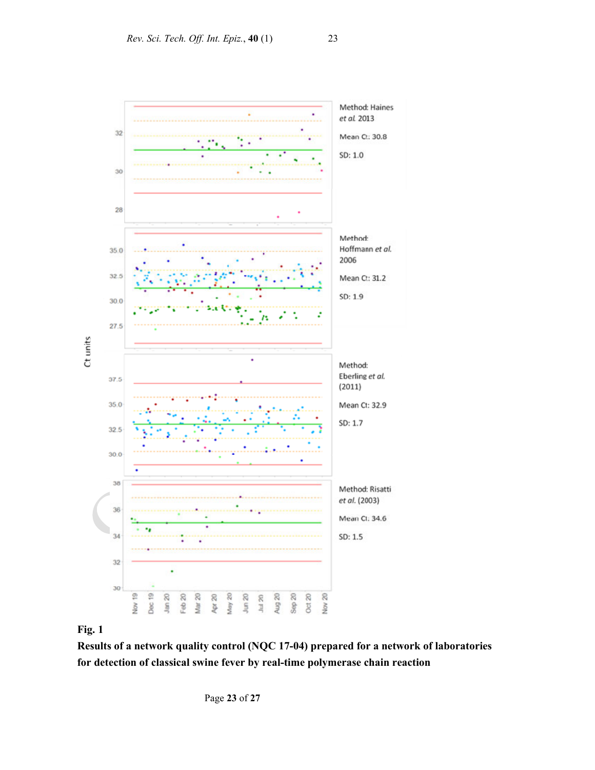

## **Fig. 1**

**Results of a network quality control (NQC 17-04) prepared for a network of laboratories for detection of classical swine fever by real-time polymerase chain reaction**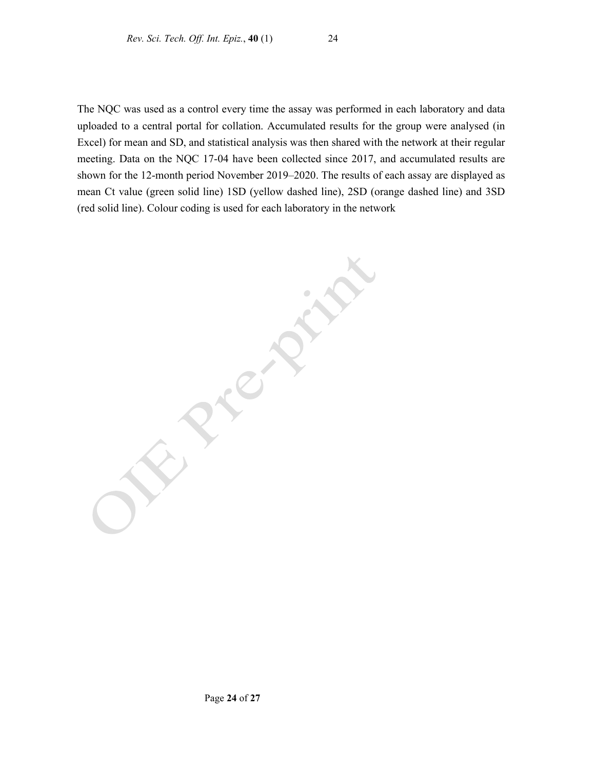The NQC was used as a control every time the assay was performed in each laboratory and data uploaded to a central portal for collation. Accumulated results for the group were analysed (in Excel) for mean and SD, and statistical analysis was then shared with the network at their regular meeting. Data on the NQC 17-04 have been collected since 2017, and accumulated results are shown for the 12-month period November 2019–2020. The results of each assay are displayed as mean Ct value (green solid line) 1SD (yellow dashed line), 2SD (orange dashed line) and 3SD (red solid line). Colour coding is used for each laboratory in the network

**Elections**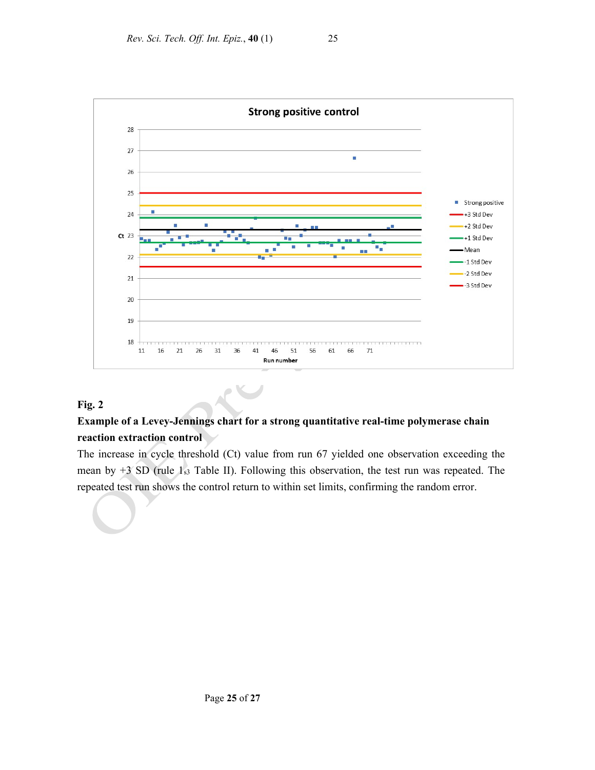



## **Fig. 2**

# **Example of a Levey-Jennings chart for a strong quantitative real-time polymerase chain reaction extraction control**

The increase in cycle threshold (Ct) value from run 67 yielded one observation exceeding the mean by  $+3$  SD (rule  $1_{s3}$  Table II). Following this observation, the test run was repeated. The repeated test run shows the control return to within set limits, confirming the random error.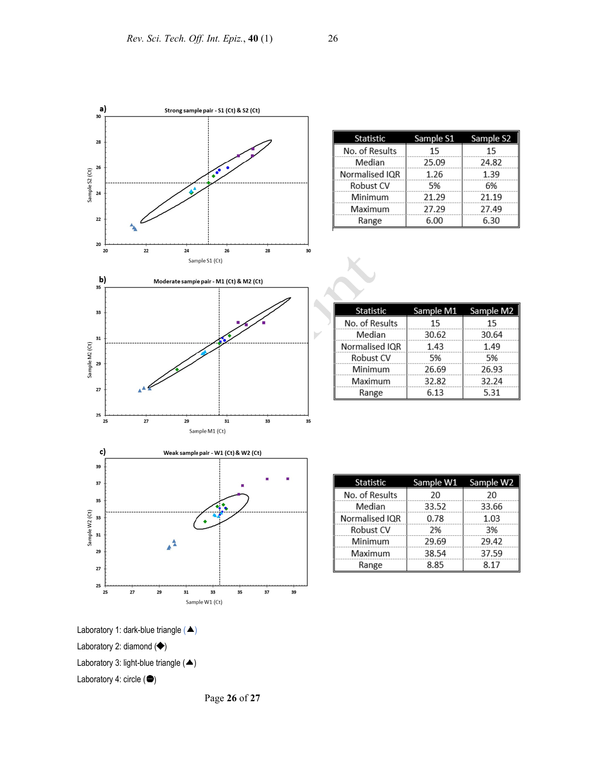

| <b>Statistic</b> | Sample S1 | Sample S <sub>2</sub> |
|------------------|-----------|-----------------------|
| No. of Results   | 15        | 15                    |
| Median           | 25.09     | 24.82                 |
| Normalised IQR   | 1.26      | 1.39                  |
| Robust CV        | 5%        | 6%                    |
| Minimum          | 21.29     | 21.19                 |
| Maximum          | 27.29     | 27.49                 |
| Range            | 6.00      | 6.30                  |

| Statistic      | Sample M1 | Sample M2 |
|----------------|-----------|-----------|
| No. of Results | 15        | 15        |
| Median         | 30.62     | 30.64     |
| Normalised IQR | 1.43      | 1.49      |
| Robust CV      | 5%        | 5%        |
| Minimum        | 26.69     | 26.93     |
| Maximum        | 32.82     | 32.24     |
| Range          | 6.13      | 5.31      |

| Statistic      |       | Sample W1 Sample W2 |
|----------------|-------|---------------------|
| No. of Results | 20    | 20                  |
| Median         | 33.52 | 33.66               |
| Normalised IQR | 0.78  | 1.03                |
| Robust CV      | 2%    | 3%                  |
| Minimum        | 29.69 | 29.42               |
| Maximum        | 38.54 | 37.59               |
| Range          | 8.85  | 8.17                |



Page **26** of **27**